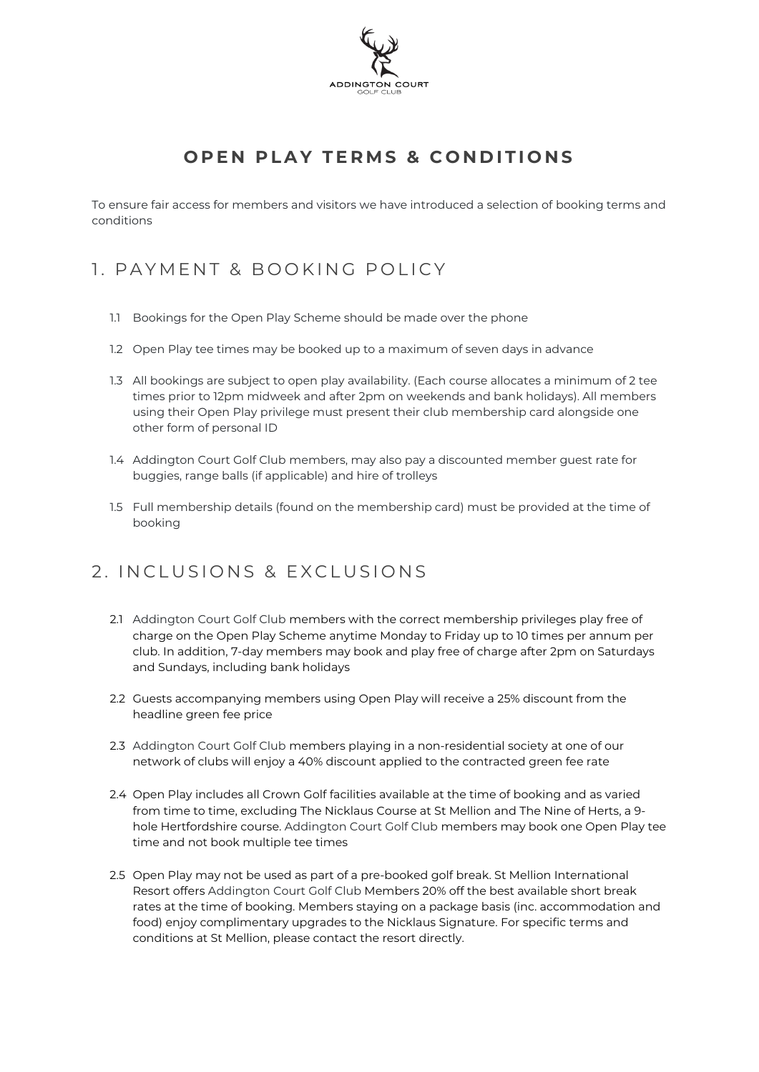

## **OPEN PLAY TERMS & CONDITIONS**

To ensure fair access for members and visitors we have introduced a selection of booking terms and conditions

## 1. PAYMENT & BOOKING POLICY

- 1.1 Bookings for the Open Play Scheme should be made over the phone
- 1.2 Open Play tee times may be booked up to a maximum of seven days in advance
- 1.3 All bookings are subject to open play availability. (Each course allocates a minimum of 2 tee times prior to 12pm midweek and after 2pm on weekends and bank holidays). All members using their Open Play privilege must present their club membership card alongside one other form of personal ID
- 1.4 Addington Court Golf Club members, may also pay a discounted member guest rate for buggies, range balls (if applicable) and hire of trolleys
- 1.5 Full membership details (found on the membership card) must be provided at the time of booking

## 2. INCLUSIONS & EXCLUSIONS

- 2.1 Addington Court Golf Club members with the correct membership privileges play free of charge on the Open Play Scheme anytime Monday to Friday up to 10 times per annum per club. In addition, 7-day members may book and play free of charge after 2pm on Saturdays and Sundays, including bank holidays
- 2.2 Guests accompanying members using Open Play will receive a 25% discount from the headline green fee price
- 2.3 Addington Court Golf Club members playing in a non-residential society at one of our network of clubs will enjoy a 40% discount applied to the contracted green fee rate
- 2.4 Open Play includes all Crown Golf facilities available at the time of booking and as varied from time to time, excluding The Nicklaus Course at St Mellion and The Nine of Herts, a 9 hole Hertfordshire course. Addington Court Golf Club members may book one Open Play tee time and not book multiple tee times
- 2.5 Open Play may not be used as part of a pre-booked golf break. St Mellion International Resort offers Addington Court Golf Club Members 20% off the best available short break rates at the time of booking. Members staying on a package basis (inc. accommodation and food) enjoy complimentary upgrades to the Nicklaus Signature. For specific terms and conditions at St Mellion, please contact the resort directly.